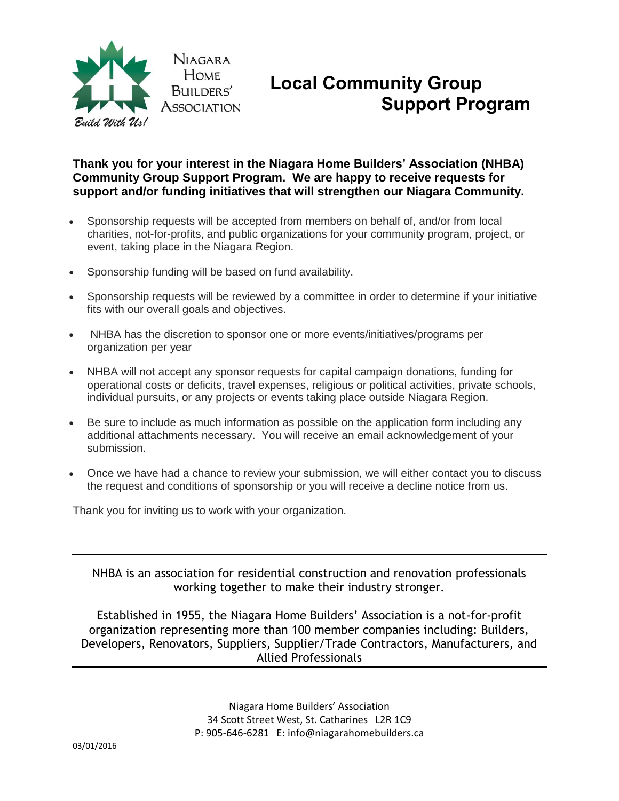

## **Local Community Group Association Support Program**

#### **Thank you for your interest in the Niagara Home Builders' Association (NHBA) Community Group Support Program. We are happy to receive requests for support and/or funding initiatives that will strengthen our Niagara Community.**

- Sponsorship requests will be accepted from members on behalf of, and/or from local charities, not-for-profits, and public organizations for your community program, project, or event, taking place in the Niagara Region.
- Sponsorship funding will be based on fund availability.
- Sponsorship requests will be reviewed by a committee in order to determine if your initiative fits with our overall goals and objectives.
- NHBA has the discretion to sponsor one or more events/initiatives/programs per organization per year
- NHBA will not accept any sponsor requests for capital campaign donations, funding for operational costs or deficits, travel expenses, religious or political activities, private schools, individual pursuits, or any projects or events taking place outside Niagara Region.
- Be sure to include as much information as possible on the application form including any additional attachments necessary. You will receive an email acknowledgement of your submission.
- Once we have had a chance to review your submission, we will either contact you to discuss the request and conditions of sponsorship or you will receive a decline notice from us.

Thank you for inviting us to work with your organization.

NHBA is an association for residential construction and renovation professionals working together to make their industry stronger.

Established in 1955, the Niagara Home Builders' Association is a not-for-profit organization representing more than 100 member companies including: Builders, Developers, Renovators, Suppliers, Supplier/Trade Contractors, Manufacturers, and Allied Professionals

> Niagara Home Builders' Association 34 Scott Street West, St. Catharines L2R 1C9 P: 905-646-6281 E: info@niagarahomebuilders.ca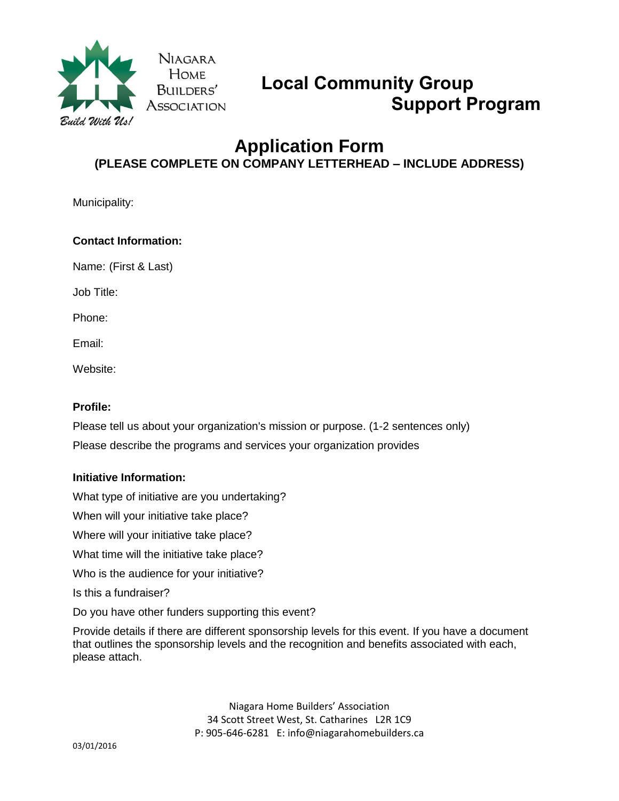

# **HOME**<br>BUILDERS' Local Community Group Association **Support Program**

### **Application Form (PLEASE COMPLETE ON COMPANY LETTERHEAD – INCLUDE ADDRESS)**

Municipality:

#### **Contact Information:**

Name: (First & Last)

Job Title:

Phone:

Email:

Website:

#### **Profile:**

Please tell us about your organization's mission or purpose. (1-2 sentences only) Please describe the programs and services your organization provides

#### **Initiative Information:**

What type of initiative are you undertaking?

When will your initiative take place?

Where will your initiative take place?

What time will the initiative take place?

Who is the audience for your initiative?

Is this a fundraiser?

Do you have other funders supporting this event?

Provide details if there are different sponsorship levels for this event. If you have a document that outlines the sponsorship levels and the recognition and benefits associated with each, please attach.

> Niagara Home Builders' Association 34 Scott Street West, St. Catharines L2R 1C9 P: 905-646-6281 E: info@niagarahomebuilders.ca